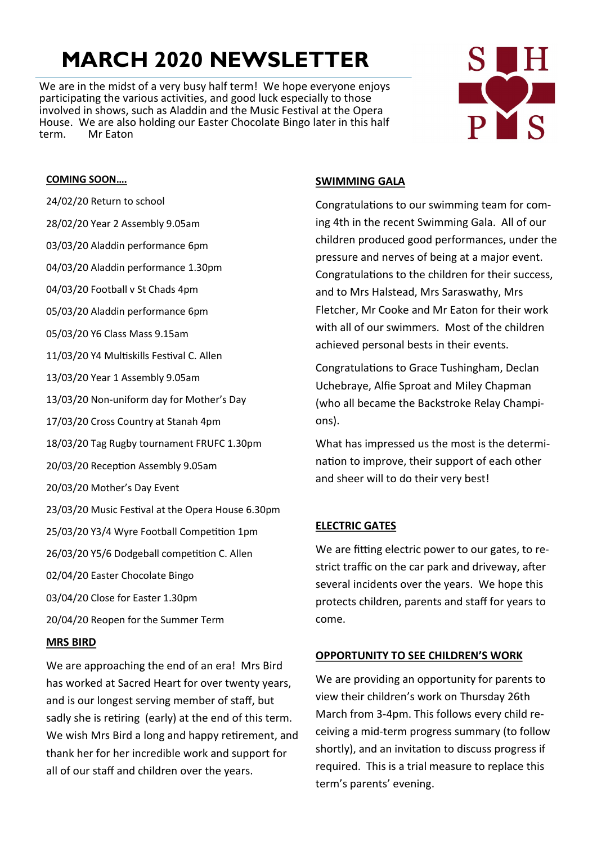# **MARCH 2020 NEWSLETTER**

We are in the midst of a very busy half term! We hope everyone enjoys participating the various activities, and good luck especially to those involved in shows, such as Aladdin and the Music Festival at the Opera House. We are also holding our Easter Chocolate Bingo later in this half term. Mr Eaton



### **COMING SOON….**

- 24/02/20 Return to school
- 28/02/20 Year 2 Assembly 9.05am
- 03/03/20 Aladdin performance 6pm
- 04/03/20 Aladdin performance 1.30pm
- 04/03/20 Football v St Chads 4pm
- 05/03/20 Aladdin performance 6pm
- 05/03/20 Y6 Class Mass 9.15am
- 11/03/20 Y4 Multiskills Festival C. Allen
- 13/03/20 Year 1 Assembly 9.05am
- 13/03/20 Non-uniform day for Mother's Day
- 17/03/20 Cross Country at Stanah 4pm
- 18/03/20 Tag Rugby tournament FRUFC 1.30pm
- 20/03/20 Reception Assembly 9.05am
- 20/03/20 Mother's Day Event
- 23/03/20 Music Festival at the Opera House 6.30pm
- 25/03/20 Y3/4 Wyre Football Competition 1pm
- 26/03/20 Y5/6 Dodgeball competition C. Allen
- 02/04/20 Easter Chocolate Bingo
- 03/04/20 Close for Easter 1.30pm
- 20/04/20 Reopen for the Summer Term

### **MRS BIRD**

We are approaching the end of an era! Mrs Bird has worked at Sacred Heart for over twenty years, and is our longest serving member of staff, but sadly she is retiring (early) at the end of this term. We wish Mrs Bird a long and happy retirement, and thank her for her incredible work and support for all of our staff and children over the years.

### **SWIMMING GALA**

Congratulations to our swimming team for coming 4th in the recent Swimming Gala. All of our children produced good performances, under the pressure and nerves of being at a major event. Congratulations to the children for their success, and to Mrs Halstead, Mrs Saraswathy, Mrs Fletcher, Mr Cooke and Mr Eaton for their work with all of our swimmers. Most of the children achieved personal bests in their events.

Congratulations to Grace Tushingham, Declan Uchebraye, Alfie Sproat and Miley Chapman (who all became the Backstroke Relay Champions).

What has impressed us the most is the determination to improve, their support of each other and sheer will to do their very best!

# **ELECTRIC GATES**

We are fitting electric power to our gates, to restrict traffic on the car park and driveway, after several incidents over the years. We hope this protects children, parents and staff for years to come.

### **OPPORTUNITY TO SEE CHILDREN'S WORK**

We are providing an opportunity for parents to view their children's work on Thursday 26th March from 3-4pm. This follows every child receiving a mid-term progress summary (to follow shortly), and an invitation to discuss progress if required. This is a trial measure to replace this term's parents' evening.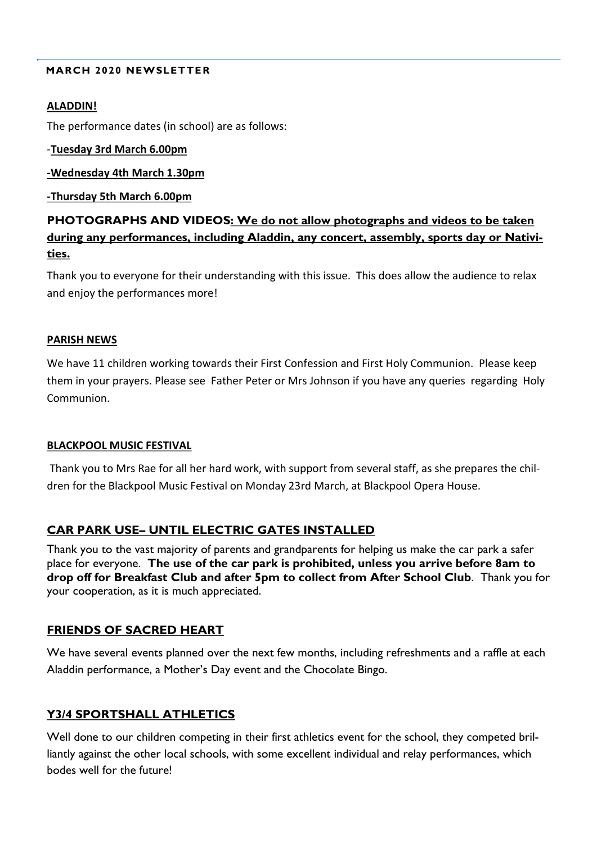### **MARCH 2020 NEWSLETTER**

### **ALADDIN!**

The performance dates (in school) are as follows:

### -**Tuesday 3rd March 6.00pm**

### **-Wednesday 4th March 1.30pm**

### **-Thursday 5th March 6.00pm**

# **PHOTOGRAPHS AND VIDEOS: We do not allow photographs and videos to be taken during any performances, including Aladdin, any concert, assembly, sports day or Nativities.**

Thank you to everyone for their understanding with this issue. This does allow the audience to relax and enjoy the performances more!

### **PARISH NEWS**

We have 11 children working towards their First Confession and First Holy Communion. Please keep them in your prayers. Please see Father Peter or Mrs Johnson if you have any queries regarding Holy Communion.

### **BLACKPOOL MUSIC FESTIVAL**

Thank you to Mrs Rae for all her hard work, with support from several staff, as she prepares the children for the Blackpool Music Festival on Monday 23rd March, at Blackpool Opera House.

# **CAR PARK USE– UNTIL ELECTRIC GATES INSTALLED**

Thank you to the vast majority of parents and grandparents for helping us make the car park a safer place for everyone. **The use of the car park is prohibited, unless you arrive before 8am to drop off for Breakfast Club and after 5pm to collect from After School Club**. Thank you for your cooperation, as it is much appreciated.

# **FRIENDS OF SACRED HEART**

We have several events planned over the next few months, including refreshments and a raffle at each Aladdin performance, a Mother's Day event and the Chocolate Bingo.

# **Y3/4 SPORTSHALL ATHLETICS**

Well done to our children competing in their first athletics event for the school, they competed brilliantly against the other local schools, with some excellent individual and relay performances, which bodes well for the future!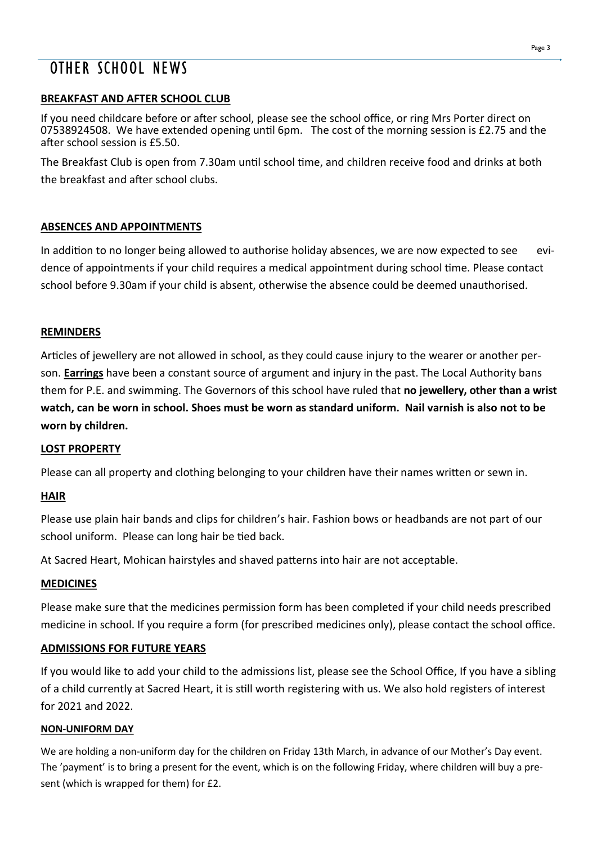# OTHER SCHOOL NEWS

# **BREAKFAST AND AFTER SCHOOL CLUB**

If you need childcare before or after school, please see the school office, or ring Mrs Porter direct on 07538924508. We have extended opening until 6pm. The cost of the morning session is £2.75 and the after school session is £5.50.

The Breakfast Club is open from 7.30am until school time, and children receive food and drinks at both the breakfast and after school clubs.

# **ABSENCES AND APPOINTMENTS**

In addition to no longer being allowed to authorise holiday absences, we are now expected to see evidence of appointments if your child requires a medical appointment during school time. Please contact school before 9.30am if your child is absent, otherwise the absence could be deemed unauthorised.

# **REMINDERS**

Articles of jewellery are not allowed in school, as they could cause injury to the wearer or another person. **Earrings** have been a constant source of argument and injury in the past. The Local Authority bans them for P.E. and swimming. The Governors of this school have ruled that **no jewellery, other than a wrist watch, can be worn in school. Shoes must be worn as standard uniform. Nail varnish is also not to be worn by children.**

# **LOST PROPERTY**

Please can all property and clothing belonging to your children have their names written or sewn in.

# **HAIR**

Please use plain hair bands and clips for children's hair. Fashion bows or headbands are not part of our school uniform. Please can long hair be tied back.

At Sacred Heart, Mohican hairstyles and shaved patterns into hair are not acceptable.

# **MEDICINES**

Please make sure that the medicines permission form has been completed if your child needs prescribed medicine in school. If you require a form (for prescribed medicines only), please contact the school office.

# **ADMISSIONS FOR FUTURE YEARS**

If you would like to add your child to the admissions list, please see the School Office, If you have a sibling of a child currently at Sacred Heart, it is still worth registering with us. We also hold registers of interest for 2021 and 2022.

# **NON-UNIFORM DAY**

We are holding a non-uniform day for the children on Friday 13th March, in advance of our Mother's Day event. The 'payment' is to bring a present for the event, which is on the following Friday, where children will buy a present (which is wrapped for them) for £2.